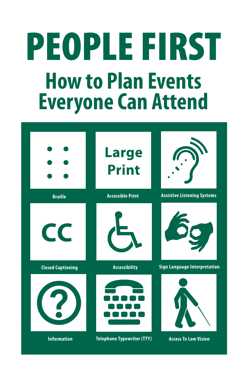# **PEOPLE FIRST How to Plan Events Everyone Can Attend**

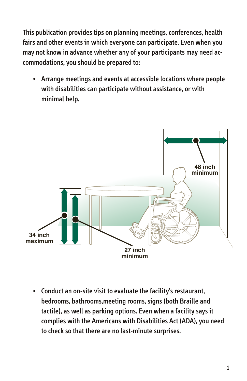This publication provides tips on planning meetings, conferences, health fairs and other events in which everyone can participate. Even when you may not know in advance whether any of your participants may need accommodations, you should be prepared to:

• Arrange meetings and events at accessible locations where people with disabilities can participate without assistance, or with minimal help.



• Conduct an on-site visit to evaluate the facility's restaurant, bedrooms, bathrooms,meeting rooms, signs (both Braille and tactile), as well as parking options. Even when a facility says it complies with the Americans with Disabilities Act (ADA), you need to check so that there are no last-minute surprises.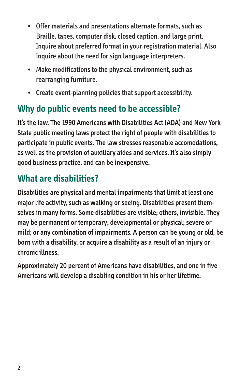- • Offer materials and presentations alternate formats, such as Braille, tapes, computer disk, closed caption, and large print. Inquire about preferred format in your registration material. Also inquire about the need for sign language interpreters.
- Make modifications to the physical environment, such as rearranging furniture.
- $\bullet$  Create event-planning policies that support accessibility.

## **Why do public events need to be accessible?**

It's the law. The 1990 Americans with Disabilities Act (ADA) and New York State public meeting laws protect the right of people with disabilities to participate in public events. The law stresses reasonable accomodations, as well as the provision of auxiliary aides and services. It's also simply good business practice, and can be inexpensive.

## **What are disabilities?**

Disabilities are physical and mental impairments that limit at least one major life activity, such as walking or seeing. Disabilities present themselves in many forms. Some disabilities are visible; others, invisible. They may be permanent or temporary; developmental or physical; severe or mild; or any combination of impairments. A person can be young or old, be born with a disability, or acquire a disability as a result of an injury or chronic illness.

Approximately 20 percent of Americans have disabilities, and one in five Americans will develop a disabling condition in his or her lifetime.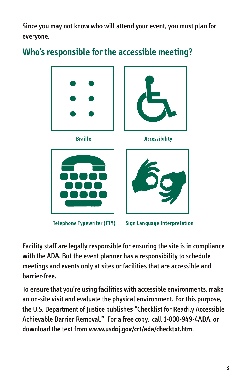Since you may not know who will attend your event, you must plan for everyone.

### **Who's responsible for the accessible meeting?**



Facility staff are legally responsible for ensuring the site is in compliance with the ADA. But the event planner has a responsibility to schedule meetings and events only at sites or facilities that are accessible and barrier-free.

To ensure that you're using facilities with accessible environments, make an on-site visit and evaluate the physical environment. For this purpose, the U.S. Department of Justice publishes "Checklist for Readily Accessible Achievable Barrier Removal." For a free copy, call 1-800-949-4ADA, or download the text from **www.usdoj.gov/crt/ada/checktxt.htm**.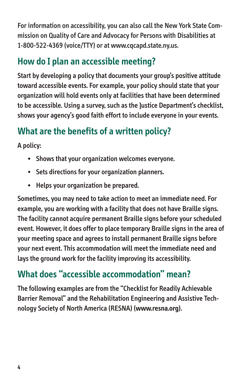For information on accessibility, you can also call the New York State Commission on Quality of Care and Advocacy for Persons with Disabilities at 1-800-522-4369 (voice/TTY) or at www.cqcapd.state.ny.us.

## **How do I plan an accessible meeting?**

Start by developing a policy that documents your group's positive attitude toward accessible events. For example, your policy should state that your organization will hold events only at facilities that have been determined to be accessible. Using a survey, such as the Justice Department's checklist, shows your agency's good faith effort to include everyone in your events.

# **What are the benefits of a written policy?**

A policy:

- Shows that your organization welcomes everyone.
- Sets directions for your organization planners.
- Helps your organization be prepared.

Sometimes, you may need to take action to meet an immediate need. For example, you are working with a facility that does not have Braille signs. The facility cannot acquire permanent Braille signs before your scheduled event. However, it does offer to place temporary Braille signs in the area of your meeting space and agrees to install permanent Braille signs before your next event. This accommodation will meet the immediate need and lays the ground work for the facility improving its accessibility.

## **What does "accessible accommodation" mean?**

The following examples are from the "Checklist for Readily Achievable Barrier Removal" and the Rehabilitation Engineering and Assistive Technology Society of North America (RESNA) (**www.resna.org**).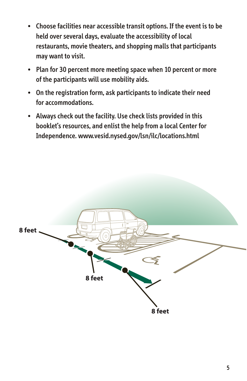- Choose facilities near accessible transit options. If the event is to be held over several days, evaluate the accessibility of local restaurants, movie theaters, and shopping malls that participants may want to visit.
- Plan for 30 percent more meeting space when 10 percent or more of the participants will use mobility aids.
- On the registration form, ask participants to indicate their need for accommodations.
- Always check out the facility. Use check lists provided in this booklet's resources, and enlist the help from a local Center for Independence. www.vesid.nysed.gov/lsn/ilc/locations.html

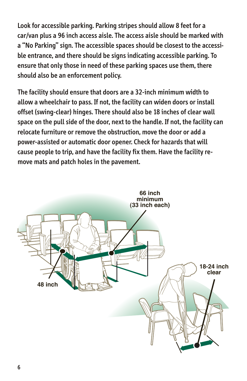Look for accessible parking. Parking stripes should allow 8 feet for a car/van plus a 96 inch access aisle. The access aisle should be marked with a "No Parking" sign. The accessible spaces should be closest to the accessible entrance, and there should be signs indicating accessible parking. To ensure that only those in need of these parking spaces use them, there should also be an enforcement policy.

The facility should ensure that doors are a 32-inch minimum width to allow a wheelchair to pass. If not, the facility can widen doors or install offset (swing-clear) hinges. There should also be 18 inches of clear wall space on the pull side of the door, next to the handle. If not, the facility can relocate furniture or remove the obstruction, move the door or add a power-assisted or automatic door opener. Check for hazards that will cause people to trip, and have the facility fix them. Have the facility remove mats and patch holes in the pavement.

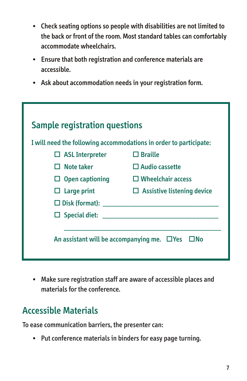- Check seating options so people with disabilities are not limited to the back or front of the room. Most standard tables can comfortably accommodate wheelchairs.
- • Ensure that both registration and conference materials are accessible.
- • Ask about accommodation needs in your registration form.

| <b>Sample registration questions</b>                              |                                   |
|-------------------------------------------------------------------|-----------------------------------|
| I will need the following accommodations in order to participate: |                                   |
| $\Box$ ASL Interpreter                                            | $\Box$ Braille                    |
| $\Box$ Note taker                                                 | $\Box$ Audio cassette             |
| $\Box$ Open captioning                                            | $\Box$ Wheelchair access          |
| $\Box$ Large print                                                | $\Box$ Assistive listening device |
| $\square$ Disk (format):                                          |                                   |
| $\square$ Special diet:                                           |                                   |
| An assistant will be accompanying me. $\Box$ Yes<br>$\square$ No  |                                   |

• Make sure registration staff are aware of accessible places and materials for the conference.

#### Accessible Materials

To ease communication barriers, the presenter can:

• Put conference materials in binders for easy page turning.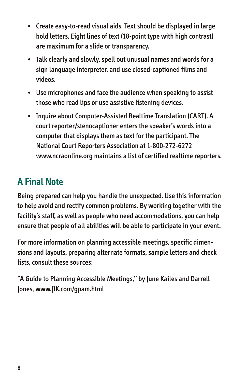- Create easy-to-read visual aids. Text should be displayed in large bold letters. Eight lines of text (18-point type with high contrast) are maximum for a slide or transparency.
- • Talk clearly and slowly, spell out unusual names and words for a sign language interpreter, and use closed-captioned films and videos.
- Use microphones and face the audience when speaking to assist those who read lips or use assistive listening devices.
- Inquire about Computer-Assisted Realtime Translation (CART). A court reporter/stenocaptioner enters the speaker's words into a computer that displays them as text for the participant. The National Court Reporters Association at 1-800-272-6272 www.ncraonline.org maintains a list of certified realtime reporters.

## **A Final Note**

Being prepared can help you handle the unexpected. Use this information to help avoid and rectify common problems. By working together with the facility's staff, as well as people who need accommodations, you can help ensure that people of all abilities will be able to participate in your event.

For more information on planning accessible meetings, specific dimensions and layouts, preparing alternate formats, sample letters and check lists, consult these sources:

"A Guide to Planning Accessible Meetings," by June Kailes and Darrell Jones, www.JIK.com/gpam.html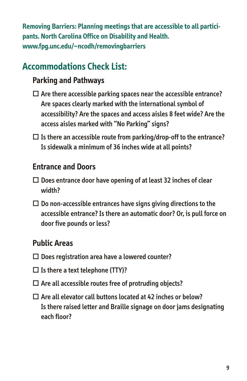**Removing Barriers: Planning meetings that are accessible to all participants. North Carolina Office on Disability and Health. www.fpg.unc.edu/~ncodh/removingbarriers**

### **Accommodations Check List:**

#### **Parking and Pathways**

- $\Box$  Are there accessible parking spaces near the accessible entrance? Are spaces clearly marked with the international symbol of accessibility? Are the spaces and access aisles 8 feet wide? Are the access aisles marked with "No Parking" signs?
- $\square$  Is there an accessible route from parking/drop-off to the entrance? Is sidewalk a minimum of 36 inches wide at all points?

#### **Entrance and Doors**

- $\Box$  Does entrance door have opening of at least 32 inches of clear width?
- $\Box$  Do non-accessible entrances have signs giving directions to the accessible entrance? Is there an automatic door? Or, is pull force on door five pounds or less?

#### **Public Areas**

- $\square$  Does registration area have a lowered counter?
- $\square$  Is there a text telephone (TTY)?
- $\square$  Are all accessible routes free of protruding objects?
- $\square$  Are all elevator call buttons located at 42 inches or below? Is there raised letter and Braille signage on door jams designating each floor?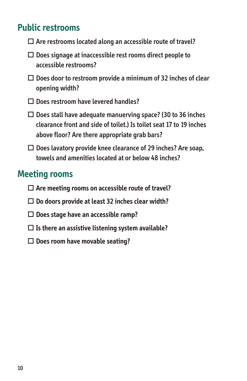#### **Public restrooms**

- $\Box$  Are restrooms located along an accessible route of travel?
- $\Box$  Does signage at inaccessible rest rooms direct people to accessible restrooms?
- $\Box$  Does door to restroom provide a minimum of 32 inches of clear opening width?
- $\square$  Does restroom have levered handles?
- $\Box$  Does stall have adequate manuerving space? (30 to 36 inches clearance front and side of toilet.) Is toilet seat 17 to 19 inches above floor? Are there appropriate grab bars?
- $\Box$  Does lavatory provide knee clearance of 29 inches? Are soap, towels and amenities located at or below 48 inches?

#### **Meeting rooms**

- � **Are meeting rooms on accessible route of travel?**
- � **Do doors provide at least 32 inches clear width?**
- � **Does stage have an accessible ramp?**
- � **Is there an assistive listening system available?**
- � **Does room have movable seating?**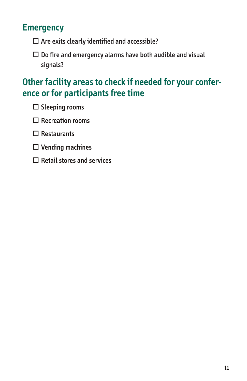#### **Emergency**

- $\square$  Are exits clearly identified and accessible?
- $\Box$  Do fire and emergency alarms have both audible and visual signals?

#### **Other facility areas to check if needed for your conference or for participants free time**

- $\square$  Sleeping rooms
- $\Box$  Recreation rooms
- $\square$  Restaurants
- $\square$  Vending machines
- $\square$  Retail stores and services